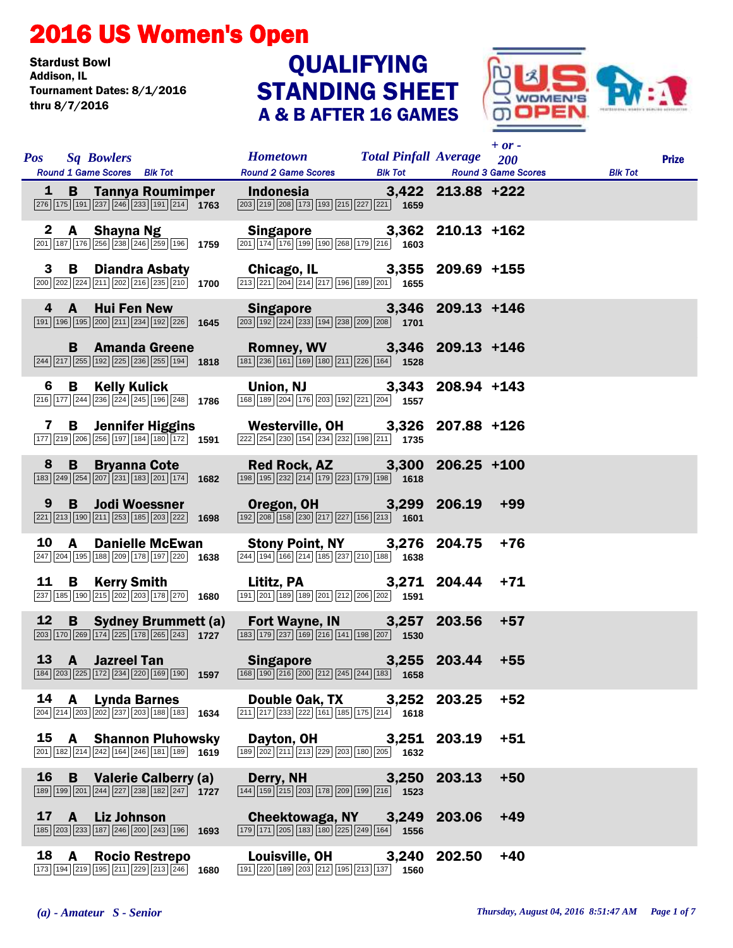## 2016 US Women's Open

Stardust Bowl<br>Addison. IL Tournament Dates: 8/1/2016 thru 8/7/2016

## STANDING SHEET A & B AFTER 16 GAMES **QUALIFYING**



|              |              | Pos Sq Bowlers<br>Round 1 Game Scores Blk Tot                                                                                                                                     | <b>Example 18 Total Pinfall Average</b> 200<br><b>Round 2 Game Scores</b>                                                                                                                                     |       |        | $+$ or $-$<br><b>Blk Tot Round 3 Game Scores</b> | <b>Blk Tot</b> | <b>Prize</b> |
|--------------|--------------|-----------------------------------------------------------------------------------------------------------------------------------------------------------------------------------|---------------------------------------------------------------------------------------------------------------------------------------------------------------------------------------------------------------|-------|--------|--------------------------------------------------|----------------|--------------|
|              |              |                                                                                                                                                                                   | 1 B Tannya Roumimper Indonesia 3,422 213.88 +222<br>276 175 191 237 246 233 191 214 1763 233 219 208 219 208 173 215 227 227 221 1659                                                                         |       |        |                                                  |                |              |
|              |              | 2 A Shayna Ng<br>201 187 176 256 238 246 259 196 1759                                                                                                                             | Singapore 3,362 210.13 +162<br>$\frac{201}{[174] [176] [199] [190] [268] [179] [216]}$ 1603                                                                                                                   |       |        |                                                  |                |              |
| 3            |              | <b>B</b> Diandra Asbaty<br>$\boxed{200}\boxed{202}\boxed{224}\boxed{211}\boxed{202}\boxed{216}\boxed{235}\boxed{210}$ 1700                                                        | Chicago, IL 3,355 209.69 +155<br>$\boxed{213}\boxed{221}\boxed{204}\boxed{214}\boxed{217}\boxed{196}\boxed{189}\boxed{201}$ 1655                                                                              |       |        |                                                  |                |              |
|              |              | 4 A Hui Fen New<br>191 196 195 200 211 234 192 226 1645                                                                                                                           | Singapore 3,346 209.13 +146<br>$\boxed{203}$ $\boxed{192}$ $\boxed{224}$ $\boxed{233}$ $\boxed{194}$ $\boxed{238}$ $\boxed{209}$ $\boxed{208}$ 1701                                                           |       |        |                                                  |                |              |
|              |              | $\boxed{244}\boxed{217}\boxed{255}\boxed{192}\boxed{225}\boxed{236}\boxed{255}\boxed{194}$ 1818                                                                                   | B Amanda Greene Romney, WV 3,346 209.13 +146<br>$\boxed{181}$ $\boxed{236}$ $\boxed{161}$ $\boxed{169}$ $\boxed{180}$ $\boxed{211}$ $\boxed{226}$ $\boxed{164}$ <b>1528</b>                                   |       |        |                                                  |                |              |
| 6            |              | <b>B</b> Kelly Kulick<br>$\boxed{216}\boxed{177}\boxed{244}\boxed{236}\boxed{224}\boxed{245}\boxed{196}\boxed{248}$ 1786                                                          | Union, NJ<br>168   189   204   176   203   192   221   204   1557<br>1557                                                                                                                                     |       |        |                                                  |                |              |
| $\mathbf{7}$ |              | $\boxed{177}\boxed{219}\boxed{206}\boxed{256}\boxed{197}\boxed{184}\boxed{180}\boxed{172}$ 1591                                                                                   | B Jennifer Higgins Westerville, OH 3,326 207.88 +126<br>$\overline{222}$ $\overline{254}$ $\overline{230}$ $\overline{154}$ $\overline{234}$ $\overline{232}$ $\overline{198}$ $\overline{211}$ 1735          |       |        |                                                  |                |              |
| 8            |              | $\boxed{183}$ $\boxed{249}$ $\boxed{254}$ $\boxed{207}$ $\boxed{231}$ $\boxed{183}$ $\boxed{201}$ $\boxed{174}$ <b>1682</b>                                                       | B Bryanna Cote Red Rock, AZ 3,300 206.25 +100<br>198 195 232 214 179 223 179 198 1618                                                                                                                         |       |        |                                                  |                |              |
| 9            |              | $\boxed{221}\boxed{213}\boxed{190}\boxed{211}\boxed{253}\boxed{185}\boxed{203}\boxed{222}$ <b>1698</b>                                                                            | B Jodi Woessner Oregon, OH 3,299 206.19<br>$\sqrt{192}\sqrt{208}\sqrt{158}\sqrt{230}\sqrt{217}\sqrt{227}\sqrt{156}\sqrt{213}\$ 1601                                                                           |       |        | $+99$                                            |                |              |
| 10           | $\mathsf{A}$ | <b>Danielle McEwan</b><br>$\boxed{247}$ $\boxed{204}$ $\boxed{195}$ $\boxed{188}$ $\boxed{209}$ $\boxed{178}$ $\boxed{197}$ $\boxed{220}$ <b>1638</b>                             | Stony Point, NY 3,276 204.75<br>$\boxed{244}$ 194 166 214 185 237 210 188 1638                                                                                                                                |       |        | $+76$                                            |                |              |
| 11           |              | <b>B</b> Kerry Smith<br>237 185 190 215 202 203 178 270 1680                                                                                                                      | Lititz, PA 3,271 204.44 +71<br>$\boxed{191}$ $\boxed{201}$ $\boxed{189}$ $\boxed{189}$ $\boxed{201}$ $\boxed{212}$ $\boxed{206}$ $\boxed{202}$ 1591                                                           |       |        |                                                  |                |              |
| 12           |              | $\boxed{203}$ 170 $\boxed{269}$ 174 $\boxed{225}$ 178 $\boxed{265}$ 243 1727                                                                                                      | B Sydney Brummett (a) Fort Wayne, IN 3,257<br>$\boxed{183}\boxed{179}\boxed{237}\boxed{169}\boxed{216}\boxed{141}\boxed{198}\boxed{207}$ 1530                                                                 |       | 203.56 | $+57$                                            |                |              |
|              |              | 13 A Jazreel Tan<br>184 203 225 172 234 220 169 190 1597                                                                                                                          | Singapore 3,255 203.44 +55<br>$\boxed{168}$ $\boxed{190}$ $\boxed{216}$ $\boxed{200}$ $\boxed{212}$ $\boxed{245}$ $\boxed{244}$ $\boxed{183}$ 1658                                                            |       |        |                                                  |                |              |
| 14           | A            | Lynda Barnes<br>$\overline{ 204  214  203  202  237  203  188  183}$ 1634                                                                                                         | Double Oak, TX<br>$\overline{ 211 }$ $\overline{ 217 }$ $\overline{ 233 }$ $\overline{ 222 }$ $\overline{ 161 }$ $\overline{ 185 }$ $\overline{ 175 }$ $\overline{ 214 }$ $\overline{\phantom{1}$ <b>1618</b> | 3,252 | 203.25 | $+52$                                            |                |              |
| 15           |              | <b>A</b> Shannon Pluhowsky<br>$\boxed{201}\left \boxed{182}\right \boxed{214}\left \boxed{242}\right \boxed{164}\left \boxed{246}\right \boxed{181}\left \boxed{189}\right $ 1619 | Dayton, OH 3,251 203.19<br>$\frac{1}{189}\overline{)202}\overline{)211}\overline{)213}\overline{)229}\overline{)203}\overline{)180}\overline{)205}$ <b>1632</b>                                               |       |        | $+51$                                            |                |              |
| 16           | B            | <b>Valerie Calberry (a)</b><br>$\boxed{189}$ $\boxed{199}$ $\boxed{201}$ $\boxed{244}$ $\boxed{227}$ $\boxed{238}$ $\boxed{182}$ $\boxed{247}$ $\boxed{1727}$                     | Derry, NH<br>$\boxed{144}$ $\boxed{159}$ $\boxed{215}$ $\boxed{203}$ $\boxed{178}$ $\boxed{209}$ $\boxed{199}$ $\boxed{216}$ $\boxed{1523}$                                                                   | 3,250 | 203.13 | $+50$                                            |                |              |
| 17           |              | A Liz Johnson<br>185 203 233 187 246 200 243 196 1693                                                                                                                             | Cheektowaga, NY 3,249<br>$\boxed{179}$ $\boxed{171}$ $\boxed{205}$ $\boxed{183}$ $\boxed{180}$ $\boxed{225}$ $\boxed{249}$ $\boxed{164}$ 1556                                                                 |       | 203.06 | $+49$                                            |                |              |
| 18           |              | A Rocio Restrepo<br>173 194 219 195 211 229 213 246 1680                                                                                                                          | <b>Louisville, OH</b><br>$\boxed{191}$ $\boxed{220}$ $\boxed{189}$ $\boxed{203}$ $\boxed{212}$ $\boxed{195}$ $\boxed{213}$ $\boxed{137}$ $\boxed{1560}$                                                       | 3,240 | 202.50 | $+40$                                            |                |              |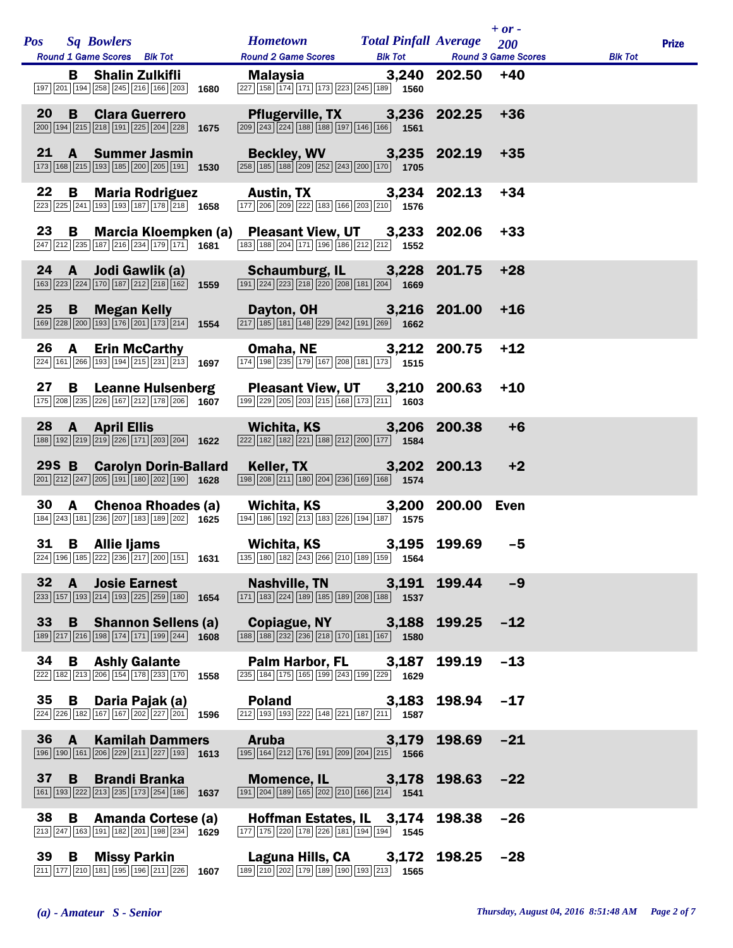|                 |                 |                | Pos Sq Bowlers<br>Round 1 Game Scores Blk Tot                                                                                                              | Hometown Total Pinfall Average 200<br>Round 2 Game Scores Blk Tot Round 3 Game Scores                                                                                                                                                                                                  |       |             | $+$ or - | <b>Blk Tot</b> | <b>Prize</b> |
|-----------------|-----------------|----------------|------------------------------------------------------------------------------------------------------------------------------------------------------------|----------------------------------------------------------------------------------------------------------------------------------------------------------------------------------------------------------------------------------------------------------------------------------------|-------|-------------|----------|----------------|--------------|
|                 |                 | B              | <b>Shalin Zulkifli</b><br>197 201 194 258 245 216 166 203 1680                                                                                             | Malaysia 3,240 202.50 +40<br>$\boxed{227} \boxed{158} \boxed{174} \boxed{171} \boxed{173} \boxed{223} \boxed{245} \boxed{189}$ <b>1560</b>                                                                                                                                             |       |             |          |                |              |
|                 | 20 <sub>2</sub> |                | <b>B</b> Clara Guerrero<br>$\boxed{200}$ 194 215 218 191 225 204 228 1675                                                                                  | Pflugerville, TX 3,236 202.25<br>$\frac{1}{\left 209\right \left 243\right \left 224\right \left 188\right \left 188\right \left 197\right \left 146\right \left 166\right }$                                                                                                          |       |             | $+36$    |                |              |
| 21              |                 |                | <b>A</b> Summer Jasmin<br>$\boxed{173}$ $\boxed{168}$ $\boxed{215}$ $\boxed{193}$ $\boxed{185}$ $\boxed{200}$ $\boxed{205}$ $\boxed{191}$ <b>1530</b>      | <b>Beckley, WV</b> 3,235 202.19<br><b>EXECUTE:</b> [188] [209] <b>EXECUTE:</b> [200] <b>EXECUTE:</b> [185] [209] <b>EXECUTE:</b> [200] [170] 1705                                                                                                                                      |       |             | $+35$    |                |              |
| 22              |                 | В              | <b>Maria Rodriguez</b><br>223 225 241 193 193 187 178 218 1658                                                                                             | Austin, TX 3,234 202.13<br>$\boxed{177}$ $\boxed{206}$ $\boxed{209}$ $\boxed{222}$ $\boxed{183}$ $\boxed{166}$ $\boxed{203}$ $\boxed{210}$ $\boxed{1576}$                                                                                                                              |       |             | $+34$    |                |              |
| 23              |                 | $\overline{B}$ | Marcia Kloempken (a)<br>$\boxed{247}\boxed{212}\boxed{235}\boxed{187}\boxed{216}\boxed{234}\boxed{179}\boxed{171}$ 1681                                    | Pleasant View, UT 3,233 202.06<br>$\boxed{183}$ $\boxed{188}$ $\boxed{204}$ $\boxed{171}$ $\boxed{196}$ $\boxed{186}$ $\boxed{212}$ $\boxed{212}$ $\boxed{212}$ <b>1552</b>                                                                                                            |       |             | $+33$    |                |              |
|                 |                 |                | 24 A Jodi Gawlik (a)<br>$\boxed{163}\boxed{223}\boxed{224}\boxed{170}\boxed{187}\boxed{212}\boxed{218}\boxed{162}\boxed{1559}$                             | <b>Schaumburg, IL</b> 3,228 201.75<br>[191] $\frac{[224]}{[223]}$ $\frac{[218]}{[220]}$ $\frac{[208]}{[181]}$ $\frac{[204]}{[204]}$ 1669                                                                                                                                               |       |             | $+28$    |                |              |
|                 | $25$ B          |                | Megan Kelly<br>169 228 200 193 176 201 173 214 1554                                                                                                        | Dayton, OH 3,216 201.00<br>$\boxed{217}$ 185 181 181 148 229 242 191 269 1662                                                                                                                                                                                                          |       |             | $+16$    |                |              |
| 26              |                 | $\mathbf{A}$   | <b>Erin McCarthy</b><br>$\boxed{224}$ 161 266 193 194 215 231 213 1697                                                                                     | Omaha, NE 3,212 200.75<br>174 198 235 179 167 208 181 173 1515                                                                                                                                                                                                                         |       |             | $+12$    |                |              |
|                 | 27              |                | <b>B</b> Leanne Hulsenberg<br>175 208 235 226 167 212 178 206 1607                                                                                         | Pleasant View, UT 3,210 200.63<br>199 229 205 203 215 168 173 211 1603                                                                                                                                                                                                                 |       |             | $+10$    |                |              |
|                 |                 |                | 28 A April Ellis<br>$\boxed{188}\boxed{192}\boxed{219}\boxed{219}\boxed{226}\boxed{171}\boxed{203}\boxed{204}$ 1622                                        | Wichita, KS 3,206 200.38<br>$\sqrt{222}\sqrt{182}\sqrt{182}\sqrt{221}\sqrt{188}\sqrt{212}\sqrt{200}\sqrt{177}\right)$ 1584                                                                                                                                                             |       |             | $+6$     |                |              |
|                 |                 |                | 29S B Carolyn Dorin-Ballard<br>$\boxed{201}$ $\boxed{212}$ $\boxed{247}$ $\boxed{205}$ $\boxed{191}$ $\boxed{180}$ $\boxed{202}$ $\boxed{190}$ <b>1628</b> | Keller, TX 3,202 200.13<br>$\boxed{198}\boxed{208}\boxed{211}\boxed{180}\boxed{204}\boxed{236}\boxed{169}\boxed{168}$ 1574                                                                                                                                                             |       |             | $+2$     |                |              |
| 30              |                 |                | A Chenoa Rhoades (a)<br>184 243 181 236 207 183 189 202 1625                                                                                               | Wichita, KS 3,200<br>$\boxed{194}$ $\boxed{186}$ $\boxed{192}$ $\boxed{213}$ $\boxed{183}$ $\boxed{226}$ $\boxed{194}$ $\boxed{187}$ $\boxed{1575}$                                                                                                                                    |       | 200.00 Even |          |                |              |
|                 |                 |                | 31 B Allie Ijams                                                                                                                                           | Wichita, KS 3,195 199.69 -5<br>$\boxed{224}$ $\boxed{196}$ $\boxed{185}$ $\boxed{222}$ $\boxed{236}$ $\boxed{217}$ $\boxed{200}$ $\boxed{151}$ <b>1631</b> $\boxed{135}$ $\boxed{180}$ $\boxed{162}$ $\boxed{243}$ $\boxed{266}$ $\boxed{210}$ $\boxed{189}$ $\boxed{159}$ <b>1564</b> |       |             |          |                |              |
| 32 <sub>2</sub> |                 | $\mathbf{A}$   | <b>Josie Earnest</b><br>$\boxed{233}$ $\boxed{157}$ $\boxed{193}$ $\boxed{214}$ $\boxed{193}$ $\boxed{225}$ $\boxed{259}$ $\boxed{180}$ 1654               | Nashville, TN 3,191<br>$\boxed{171}$ $\boxed{183}$ $\boxed{224}$ $\boxed{189}$ $\boxed{185}$ $\boxed{189}$ $\boxed{208}$ $\boxed{188}$ $\boxed{1}$ <b>1537</b>                                                                                                                         |       | 199.44      | $-9$     |                |              |
| 33 <sup>°</sup> |                 |                | <b>B</b> Shannon Sellens (a)<br>$\boxed{189}\boxed{217}\boxed{216}\boxed{198}\boxed{174}\boxed{171}\boxed{199}\boxed{244}$ 1608                            | <b>Copiague, NY</b> 3,188<br>188   188   232   236   218   170   181   167   1580                                                                                                                                                                                                      |       | 199.25      | $-12$    |                |              |
| 34              |                 | B              | <b>Ashly Galante</b><br>222 182 213 206 154 178 233 170 1558                                                                                               | Palm Harbor, FL 3,187<br>$\overline{235}$ 184 175 165 199 243 199 229 1629                                                                                                                                                                                                             |       | 199.19      | $-13$    |                |              |
| 35              |                 | B              | Daria Pajak (a)<br>$\boxed{224}$ $\boxed{226}$ $\boxed{182}$ $\boxed{167}$ $\boxed{167}$ $\boxed{202}$ $\boxed{227}$ $\boxed{201}$ 1596                    | <b>Poland Contract Contract Contract Contract Contract Contract Contract Contract Contract Contract Contract Contract Contract Contract Contract Contract Contract Contract Contract Contract Contract Contract Contract Contr</b><br>$\boxed{212}$ 193 193 222 148 221 187 211 1587   | 3,183 | 198.94 -17  |          |                |              |
| 36              |                 | $\mathbf{A}$   | <b>Kamilah Dammers</b><br>196 190 161 206 229 211 227 193 1613                                                                                             | <b>Aruba <i>nominal nominal nominal</i> <b><i>nominal</i></b></b><br>$\boxed{195}$ $\boxed{164}$ $\boxed{212}$ $\boxed{176}$ $\boxed{191}$ $\boxed{209}$ $\boxed{204}$ $\boxed{215}$ <b>1566</b>                                                                                       | 3,179 | 198.69      | $-21$    |                |              |
| 37              |                 | B              | <b>Brandi Branka</b><br>$\boxed{161}$ $\boxed{193}$ $\boxed{222}$ $\boxed{213}$ $\boxed{235}$ $\boxed{173}$ $\boxed{254}$ $\boxed{186}$ 1637               | Momence, IL 3,178<br>$\boxed{191}$ $\boxed{204}$ $\boxed{189}$ $\boxed{165}$ $\boxed{202}$ $\boxed{210}$ $\boxed{166}$ $\boxed{214}$ $\boxed{1541}$                                                                                                                                    |       | 198.63      | $-22$    |                |              |
| 38              |                 | B              | <b>Amanda Cortese (a)</b><br>$\boxed{213}\boxed{247}\boxed{163}\boxed{191}\boxed{182}\boxed{201}\boxed{198}\boxed{234}$ 1629                               | Hoffman Estates, IL 3,174<br>177 175 220 178 226 181 194 194 1545                                                                                                                                                                                                                      |       | 198.38      | $-26$    |                |              |
|                 | 39              | B              | <b>Missy Parkin</b><br>211 177 210 181 195 196 211 226 1607                                                                                                | Laguna Hills, CA 3,172 198.25 -28<br>189 210 202 179 189 190 193 213 1565                                                                                                                                                                                                              |       |             |          |                |              |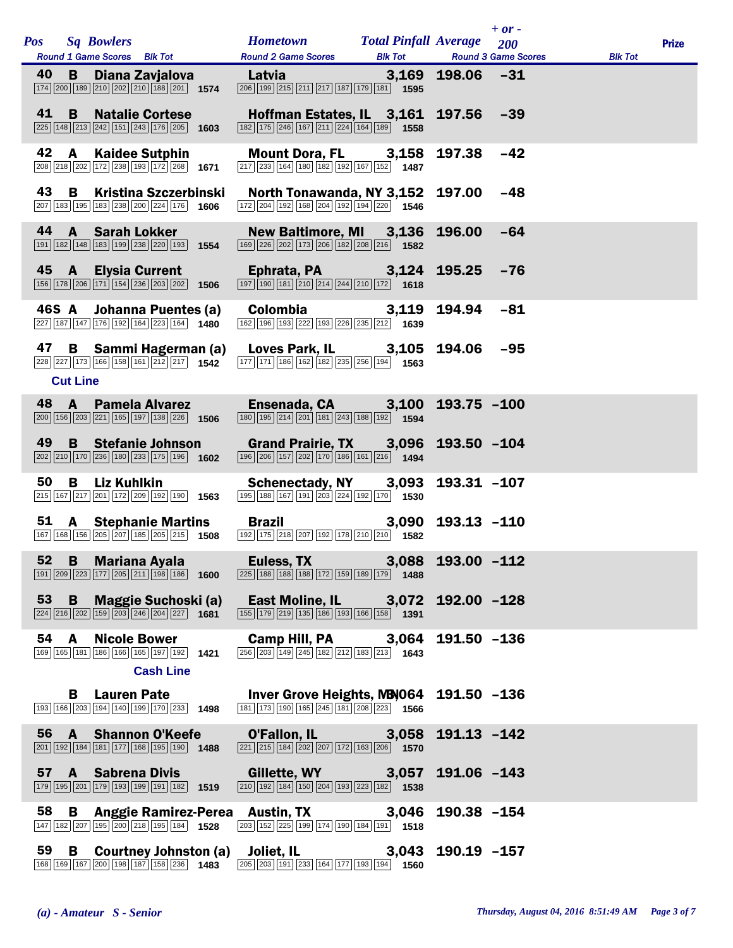| <b>Pos</b> |                 | <b>Sq Bowlers</b><br>Round 1 Game Scores Blk Tot                                                                                                      | <b>Hometown</b><br><b>Round 2 Game Scores</b>                                                                                                                          | <b>Total Pinfall Average</b><br><b>Blk Tot</b> |                | $+$ or $-$<br>200<br><b>Round 3 Game Scores</b> | <b>Blk Tot</b> | <b>Prize</b> |
|------------|-----------------|-------------------------------------------------------------------------------------------------------------------------------------------------------|------------------------------------------------------------------------------------------------------------------------------------------------------------------------|------------------------------------------------|----------------|-------------------------------------------------|----------------|--------------|
| 40         | B.              | Diana Zavjalova<br>174 200 189 210 202 210 188 201 1574                                                                                               | Latvia<br>206 199 215 211 217 187 179 181 1595                                                                                                                         | 3,169                                          | $198.06 -31$   |                                                 |                |              |
| 41         | B               | <b>Natalie Cortese</b><br>$\overline{225}$ 148 $\overline{213}$ $\overline{242}$ 151 $\overline{243}$ 176 $\overline{205}$ 1603                       | Hoffman Estates, IL 3,161<br>182 175 246 167 211 224 164 189 1558                                                                                                      |                                                | 197.56         | $-39$                                           |                |              |
| 42         | A               | <b>Kaidee Sutphin</b><br>208 218 202 172 238 193 172 268 1671                                                                                         | Mount Dora, FL 3,158<br>$\boxed{217}$ $\boxed{233}$ $\boxed{164}$ $\boxed{180}$ $\boxed{162}$ $\boxed{192}$ $\boxed{167}$ $\boxed{152}$ 1487                           |                                                | 197.38         | $-42$                                           |                |              |
| 43         | B               | <b>Kristina Szczerbinski</b><br>207 183 195 183 238 200 224 176 1606                                                                                  | North Tonawanda, NY 3,152<br>[172] 204 192 168 204 192 194 220 1546                                                                                                    |                                                | 197.00         | $-48$                                           |                |              |
|            |                 | 44 A Sarah Lokker<br>191 182 148 183 199 238 220 193 1554                                                                                             | New Baltimore, MI 3,136<br>169 226 202 173 206 182 208 216 1582                                                                                                        |                                                | 196.00         | $-64$                                           |                |              |
|            | 45 A            | <b>Elysia Current</b><br>$\boxed{156}\boxed{178}\boxed{206}\boxed{171}\boxed{154}\boxed{236}\boxed{203}\boxed{202}\$ 1506                             | Ephrata, PA 3,124<br>$\boxed{197}$ $\boxed{190}$ $\boxed{181}$ $\boxed{210}$ $\boxed{214}$ $\boxed{244}$ $\boxed{210}$ $\boxed{172}$ $\boxed{1618}$                    |                                                | 195.25         | $-76$                                           |                |              |
|            |                 | 46S A Johanna Puentes (a)<br>227 187 147 176 192 164 223 164 1480                                                                                     | Colombia<br>162 196 193 222 193 226 235 212 1639                                                                                                                       | 3,119                                          | 194.94         | $-81$                                           |                |              |
| 47         |                 | <b>B</b> Sammi Hagerman (a)<br>228 227 173 166 158 161 212 217 1542                                                                                   | Loves Park, IL 3,105<br>177 171 186 162 182 235 256 194 1563                                                                                                           |                                                | 194.06         | -95                                             |                |              |
|            | <b>Cut Line</b> |                                                                                                                                                       |                                                                                                                                                                        |                                                |                |                                                 |                |              |
| 48         | A               | <b>Pamela Alvarez</b><br>200 156 203 221 165 197 138 226 1506                                                                                         | Ensenada, CA 3,100<br>180 195 214 201 181 243 188 192 1594                                                                                                             |                                                | 193.75 -100    |                                                 |                |              |
| 49         |                 | <b>B</b> Stefanie Johnson<br>$\boxed{202}$ $\boxed{210}$ $\boxed{170}$ $\boxed{236}$ $\boxed{180}$ $\boxed{233}$ $\boxed{175}$ $\boxed{196}$ 1602     | Grand Prairie, TX 3,096<br>$\boxed{196}$ $\boxed{206}$ $\boxed{157}$ $\boxed{202}$ $\boxed{170}$ $\boxed{186}$ $\boxed{161}$ $\boxed{216}$ $\boxed{1494}$              |                                                | 193.50 -104    |                                                 |                |              |
| 50         | B               | Liz Kuhlkin<br>215 167 217 201 172 209 192 190 1563                                                                                                   | Schenectady, NY 3,093<br>195 188 167 191 203 224 192 170 1530                                                                                                          |                                                | 193.31 -107    |                                                 |                |              |
| 51         |                 | <b>A</b> Stephanie Martins<br>167 168 156 205 207 185 205 215 1508                                                                                    | <b>Brazil</b><br>192 175 218 207 192 178 210 210 1582                                                                                                                  | 3,090                                          | $193.13 - 110$ |                                                 |                |              |
|            |                 | 52 B Mariana Ayala<br>191 209 223 177 205 211 198 186 1600                                                                                            | Euless, TX 3,088 193.00 -112<br>225 188 188 188 172 159 189 179 1488                                                                                                   |                                                |                |                                                 |                |              |
| 53         | B               | <b>Maggie Suchoski (a)</b><br>$\overline{224}\overline{216}\overline{202}\overline{159}\overline{203}\overline{246}\overline{204}\overline{227}$ 1681 | East Moline, IL 3,072 192.00 -128<br>155 179 219 135 186 193 166 158 1391                                                                                              |                                                |                |                                                 |                |              |
| 54         | $\mathbf{A}$    | <b>Nicole Bower</b><br>169 165 181 186 166 165 197 192 1421                                                                                           | Camp Hill, PA 3,064<br>$\boxed{256}$ $\boxed{203}$ $\boxed{149}$ $\boxed{245}$ $\boxed{182}$ $\boxed{212}$ $\boxed{183}$ $\boxed{213}$ <b>1643</b>                     |                                                | 191.50 -136    |                                                 |                |              |
|            |                 | <b>Cash Line</b>                                                                                                                                      |                                                                                                                                                                        |                                                |                |                                                 |                |              |
|            | B               | <b>Lauren Pate</b><br>$\boxed{193}$ $\boxed{166}$ $\boxed{203}$ $\boxed{194}$ $\boxed{140}$ $\boxed{199}$ $\boxed{170}$ $\boxed{233}$ 1498            | Inver Grove Heights, MB 064 191.50 -136<br>$\boxed{181}$ $\boxed{173}$ $\boxed{190}$ $\boxed{165}$ $\boxed{245}$ $\boxed{181}$ $\boxed{208}$ $\boxed{223}$ <b>1566</b> |                                                |                |                                                 |                |              |
|            |                 | 56 A Shannon O'Keefe<br>$\boxed{201}$ $\boxed{192}$ $\boxed{184}$ $\boxed{181}$ $\boxed{177}$ $\boxed{168}$ $\boxed{195}$ $\boxed{190}$ <b>1488</b>   | <b>O'Fallon, IL</b> 3,058<br>$\boxed{221}$ $\boxed{215}$ $\boxed{184}$ $\boxed{202}$ $\boxed{207}$ $\boxed{172}$ $\boxed{163}$ $\boxed{206}$ <b>1570</b>               |                                                | 191.13 -142    |                                                 |                |              |
| 57         |                 | <b>A</b> Sabrena Divis<br>179 195 201 179 193 199 191 182 1519                                                                                        | Gillette, WY <b>Share Controller</b><br>$\boxed{210}$ $\boxed{192}$ $\boxed{184}$ $\boxed{150}$ $\boxed{204}$ $\boxed{193}$ $\boxed{223}$ $\boxed{182}$ <b>1538</b>    | 3,057                                          | 191.06 -143    |                                                 |                |              |
| 58         | B               | 147 182 207 195 200 218 195 184 1528                                                                                                                  | Anggie Ramirez-Perea Austin, TX<br>203 152 225 199 174 190 184 191 1518                                                                                                | 3,046                                          | 190.38 -154    |                                                 |                |              |
| 59         | B               | $\boxed{168}\boxed{169}\boxed{167}\boxed{200}\boxed{198}\boxed{187}\boxed{158}\boxed{236}$ 1483                                                       | <b>Courtney Johnston (a)</b> Joliet, IL 3,043 190.19 -157<br>200 198 187 158 236 1483 205 203 191 233 164 177 193 194 1560                                             |                                                |                |                                                 |                |              |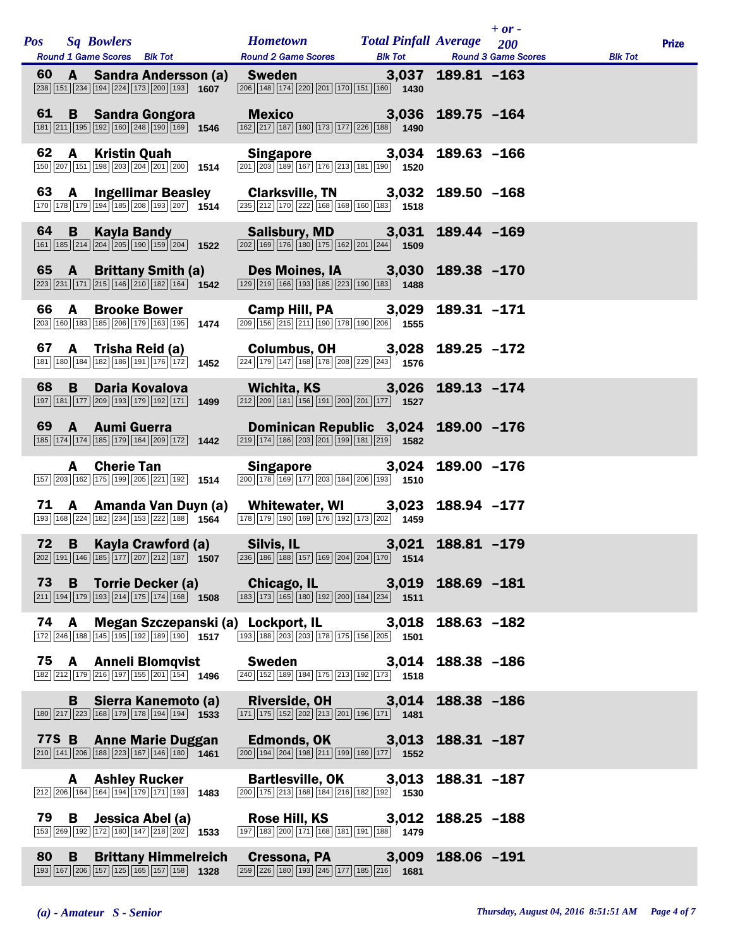|      |              | Pos Sq Bowlers<br>Round 1 Game Scores Blk Tot                                                                                                                                                                                                                                             | <b>Hometown Total Pinfall Average</b> 200<br>Round 2 Game Scores Blk Tot Round 3 Game Scores                                                                                                                                                                                                                                                                                              |                                      |                | $+$ or - | <b>Blk Tot</b> | <b>Prize</b> |
|------|--------------|-------------------------------------------------------------------------------------------------------------------------------------------------------------------------------------------------------------------------------------------------------------------------------------------|-------------------------------------------------------------------------------------------------------------------------------------------------------------------------------------------------------------------------------------------------------------------------------------------------------------------------------------------------------------------------------------------|--------------------------------------|----------------|----------|----------------|--------------|
| 60   |              | A Sandra Andersson (a) Sweden 3,037 189.81 -163<br>$\boxed{238}$ 151 234 194 224 173 200 193 1607                                                                                                                                                                                         | $\boxed{206}$ 148 174 220 201 170 151 160 1430                                                                                                                                                                                                                                                                                                                                            |                                      |                |          |                |              |
|      |              | 61 B Sandra Gongora<br>$\boxed{181}\boxed{211}\boxed{195}\boxed{192}\boxed{160}\boxed{248}\boxed{190}\boxed{169}$ 1546                                                                                                                                                                    | Mexico 3,036 189.75 -164<br>$\boxed{162}\boxed{217}\boxed{187}\boxed{160}\boxed{173}\boxed{177}\boxed{226}\boxed{188}$ 1490                                                                                                                                                                                                                                                               |                                      |                |          |                |              |
| 62   |              | A Kristin Quah<br>150 207 151 198 203 204 201 200 1514                                                                                                                                                                                                                                    | <b>Singapore</b> 3,034<br>201 203 189 167 176 213 181 190 1520                                                                                                                                                                                                                                                                                                                            |                                      | 189.63 -166    |          |                |              |
|      |              | 63 A Ingellimar Beasley Clarksville, TN 3,032 189.50 -168<br>170 178 179 194 185 208 193 207 1514 235 212 170 222 168 169 169 169 169                                                                                                                                                     |                                                                                                                                                                                                                                                                                                                                                                                           |                                      |                |          |                |              |
| 64 B |              | <b>Kayla Bandy</b><br>$\boxed{161}\boxed{185}\boxed{214}\boxed{204}\boxed{205}\boxed{190}\boxed{159}\boxed{204}$ 1522                                                                                                                                                                     | Salisbury, MD 3,031<br>$\boxed{202}$ 169 176 180 175 162 201 244 1509                                                                                                                                                                                                                                                                                                                     |                                      | 189.44 -169    |          |                |              |
|      |              | 65 A Brittany Smith (a) Des Moines, IA 3,030<br>$\boxed{223}\boxed{231}\boxed{171}\boxed{215}\boxed{146}\boxed{210}\boxed{182}\boxed{164}$ 1542                                                                                                                                           | $\boxed{129}$ $\boxed{219}$ $\boxed{166}$ $\boxed{193}$ $\boxed{185}$ $\boxed{223}$ $\boxed{190}$ $\boxed{183}$ <b>1488</b>                                                                                                                                                                                                                                                               |                                      | 189.38 -170    |          |                |              |
| 66   | $\mathbf{A}$ | <b>Brooke Bower</b><br>203 160 183 185 206 179 163 195 1474                                                                                                                                                                                                                               | Camp Hill, PA 3,029<br>$\boxed{209}$ 156 215 211 190 178 190 206 1555                                                                                                                                                                                                                                                                                                                     |                                      | 189.31 -171    |          |                |              |
| 67   |              | A Trisha Reid (a)<br>181 180 184 182 186 191 176 172 1452                                                                                                                                                                                                                                 | Columbus, OH 3,028 189.25 -172<br>224 179 147 168 178 208 229 243 1576                                                                                                                                                                                                                                                                                                                    |                                      |                |          |                |              |
| 68   |              | <b>B</b> Daria Kovalova<br>197 181 177 209 193 179 192 171 1499                                                                                                                                                                                                                           | Wichita, KS 3,026<br>$\boxed{212}$ $\boxed{209}$ $\boxed{181}$ $\boxed{156}$ $\boxed{191}$ $\boxed{200}$ $\boxed{201}$ $\boxed{177}$ <b>1527</b>                                                                                                                                                                                                                                          |                                      | 189.13 -174    |          |                |              |
|      |              | 69 A Aumi Guerra<br>$\boxed{185}$ $\boxed{174}$ $\boxed{174}$ $\boxed{185}$ $\boxed{179}$ $\boxed{164}$ $\boxed{209}$ $\boxed{172}$ <b>1442</b>                                                                                                                                           | $\boxed{219}$ 174 186 203 201 199 181 219 1582                                                                                                                                                                                                                                                                                                                                            | Dominican Republic 3,024 189.00 -176 |                |          |                |              |
|      |              | <b>A</b> Cherie Tan<br>157 203 162 175 199 205 221 192 1514                                                                                                                                                                                                                               | Singapore 3,024<br>$\boxed{200}$ $\boxed{178}$ $\boxed{169}$ $\boxed{177}$ $\boxed{203}$ $\boxed{184}$ $\boxed{206}$ $\boxed{193}$ 1510                                                                                                                                                                                                                                                   |                                      | 189.00 -176    |          |                |              |
|      |              | 71 A Amanda Van Duyn (a) Whitewater, WI 3,023<br>$\boxed{193}$ $\boxed{168}$ $\boxed{224}$ $\boxed{182}$ $\boxed{234}$ $\boxed{153}$ $\boxed{222}$ $\boxed{188}$ $\boxed{1564}$                                                                                                           | $\frac{178}{178}$ 179 190 169 176 192 173 202 1459                                                                                                                                                                                                                                                                                                                                        |                                      | 188.94 -177    |          |                |              |
| 72 B |              | Kayla Crawford (a) Silvis, IL<br>$\boxed{202}$ $\boxed{191}$ $\boxed{146}$ $\boxed{185}$ $\boxed{177}$ $\boxed{207}$ $\boxed{212}$ $\boxed{187}$ $\boxed{1807}$ $\boxed{236}$ $\boxed{186}$ $\boxed{157}$ $\boxed{169}$ $\boxed{204}$ $\boxed{204}$ $\boxed{170}$ $\boxed{1}$ <b>1514</b> |                                                                                                                                                                                                                                                                                                                                                                                           | 3,021 188.81 -179                    |                |          |                |              |
| 73   |              | B Torrie Decker (a) Chicago, IL 3,019<br>$\boxed{211}$ $\boxed{194}$ $\boxed{179}$ $\boxed{193}$ $\boxed{214}$ $\boxed{175}$ $\boxed{174}$ $\boxed{168}$ 1508                                                                                                                             | [183] [173] [165] [180] [192] [200] [184] [234] [1511                                                                                                                                                                                                                                                                                                                                     |                                      | 188.69 -181    |          |                |              |
| 74 A |              | 172 246 188 145 195 192 189 190 1517                                                                                                                                                                                                                                                      | Megan Szczepanski (a) Lockport, IL 3,018<br>$\sqrt{193\sqrt{188\sqrt{203\sqrt{203\sqrt{178\sqrt{175\sqrt{156\sqrt{205\sqrt{170\sqrt{175\sqrt{170\sqrt{170\sqrt{170\sqrt{170\sqrt{170\sqrt{170\sqrt{170\sqrt{170\sqrt{170\sqrt{170\sqrt{170\sqrt{170\sqrt{170\sqrt{170\sqrt{170\sqrt{170\sqrt{170\sqrt{170\sqrt{170\sqrt{170\sqrt{170\sqrt{170\sqrt{170\sqrt{170\sqrt{170\sqrt{170\sqrt{1$ |                                      | $188.63 - 182$ |          |                |              |
|      |              | 75 A Anneli Blomqvist<br>182 212 179 216 197 155 201 154 1496                                                                                                                                                                                                                             | <b>Sweden</b><br>$\boxed{240} \boxed{152} \boxed{189} \boxed{184} \boxed{175} \boxed{213} \boxed{192} \boxed{173}$ <b>1518</b>                                                                                                                                                                                                                                                            | 3,014                                | 188.38 -186    |          |                |              |
|      | B.           | Sierra Kanemoto (a)<br>$\boxed{180}\boxed{217}\boxed{223}\boxed{168}\boxed{179}\boxed{178}\boxed{194}\boxed{194}$ 1533                                                                                                                                                                    | Riverside, OH 3,014<br>$\boxed{171}$ $\boxed{175}$ $\boxed{152}$ $\boxed{202}$ $\boxed{213}$ $\boxed{201}$ $\boxed{196}$ $\boxed{171}$ <b>1481</b>                                                                                                                                                                                                                                        |                                      | 188.38 -186    |          |                |              |
|      |              | 77S B Anne Marie Duggan<br>$\boxed{210}$ $\boxed{141}$ $\boxed{206}$ $\boxed{188}$ $\boxed{223}$ $\boxed{167}$ $\boxed{146}$ $\boxed{180}$ $\boxed{1461}$                                                                                                                                 | $\boxed{200}$ $\boxed{194}$ $\boxed{204}$ $\boxed{198}$ $\boxed{211}$ $\boxed{199}$ $\boxed{169}$ $\boxed{177}$ $\boxed{1552}$                                                                                                                                                                                                                                                            | Edmonds, OK $\frac{3,013}$           | 188.31 -187    |          |                |              |
|      |              | <b>A</b> Ashley Rucker<br>$\boxed{212}\boxed{206}\boxed{164}\boxed{164}\boxed{194}\boxed{179}\boxed{171}\boxed{193}$ 1483                                                                                                                                                                 | Bartlesville, OK 3,013<br>$\boxed{200}$ $\boxed{175}$ $\boxed{213}$ $\boxed{168}$ $\boxed{184}$ $\boxed{216}$ $\boxed{182}$ $\boxed{192}$ <b>1530</b>                                                                                                                                                                                                                                     |                                      | 188.31 -187    |          |                |              |
| 79   | B            | Jessica Abel (a)<br>153 269 192 172 180 147 218 202 1533                                                                                                                                                                                                                                  | 197 183 200 171 168 181 191 188 1879                                                                                                                                                                                                                                                                                                                                                      | Rose Hill, KS 3,012                  | $188.25 - 188$ |          |                |              |
| 80   | <b>B</b>     | <b>Brittany Himmelreich</b><br>193 167 206 157 125 165 157 158 1328                                                                                                                                                                                                                       | Cressona, PA 3,009<br>$\boxed{259}$ $\boxed{226}$ $\boxed{180}$ $\boxed{193}$ $\boxed{245}$ $\boxed{177}$ $\boxed{185}$ $\boxed{216}$ 1681                                                                                                                                                                                                                                                |                                      | 188.06 -191    |          |                |              |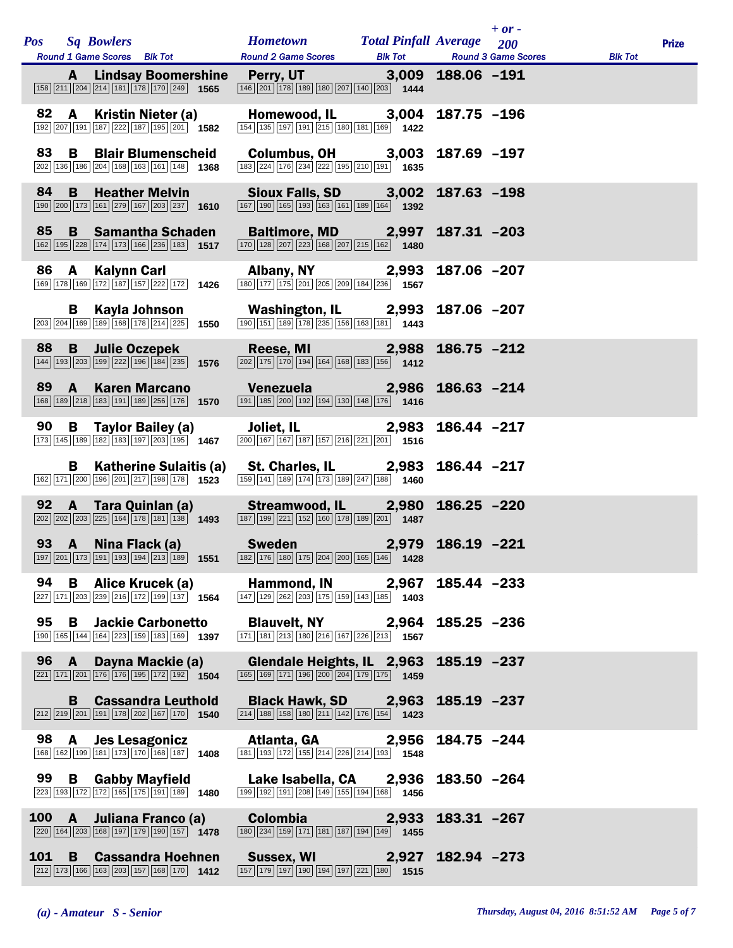|       |              | Pos Sq Bowlers<br>Round 1 Game Scores Blk Tot                                                                                                             | <b>Hometown</b> Total Pinfall Average 200                                                                                                                                                                                                                                     |       |                   | $+$ or $-$ | <b>Blk Tot</b> | <b>Prize</b> |
|-------|--------------|-----------------------------------------------------------------------------------------------------------------------------------------------------------|-------------------------------------------------------------------------------------------------------------------------------------------------------------------------------------------------------------------------------------------------------------------------------|-------|-------------------|------------|----------------|--------------|
|       | A            | $\boxed{158}\boxed{211}\boxed{204}\boxed{214}\boxed{181}\boxed{178}\boxed{170}\boxed{249}$ 1565                                                           | Round 2 Game Scores Blk Tot Round 3 Game Scores<br>Lindsay Boomershine Perry, UT 3,009 188.06 -191<br>$\boxed{146}\boxed{201}\boxed{178}\boxed{189}\boxed{180}\boxed{207}\boxed{140}\boxed{203}$ 1444                                                                         |       |                   |            |                |              |
|       |              | 82 A Kristin Nieter (a)<br>192 207 191 187 222 187 195 201 1582                                                                                           | Homewood, IL 3,004 187.75 -196<br>$\frac{1}{154}$ 135 197 191 215 180 181 169 1422                                                                                                                                                                                            |       |                   |            |                |              |
| 83    | B            | <b>Blair Blumenscheid</b><br>202 136 186 204 168 163 161 148 1368                                                                                         | <b>Columbus, OH</b> 3,003 187.69 -197<br>[183] $\frac{[224] [176] [234] [222] [195] [210] [191]}{1635}$                                                                                                                                                                       |       |                   |            |                |              |
| 84    | $\mathbf{B}$ | <b>Heather Melvin</b><br>190 200 173 161 279 167 203 237 1610                                                                                             | Sioux Falls, SD 3,002 187.63 -198<br>$\frac{187}{190}$ 198 198 198 168 169 169 169 169 169                                                                                                                                                                                    |       |                   |            |                |              |
| 85    |              | <b>B</b> Samantha Schaden<br>162 195 228 174 173 166 236 183 1517                                                                                         | Baltimore, MD 2,997 187.31 -203<br>$\boxed{170}$ $\boxed{128}$ $\boxed{207}$ $\boxed{223}$ $\boxed{168}$ $\boxed{207}$ $\boxed{215}$ $\boxed{162}$ $\boxed{1480}$                                                                                                             |       |                   |            |                |              |
|       |              | 86 A Kalynn Carl<br>$\overline{169}\overline{178}\overline{169}\overline{172}\overline{187}\overline{157}\overline{222}\overline{172}\overline{172}$ 1426 | <b>Albany, NY</b> 2,993<br>180 177 175 201 205 209 184 236 1567                                                                                                                                                                                                               |       | 187.06 -207       |            |                |              |
|       | B.           | Kayla Johnson<br>$\boxed{203}$ $\boxed{204}$ $\boxed{169}$ $\boxed{189}$ $\boxed{168}$ $\boxed{178}$ $\boxed{214}$ $\boxed{225}$ <b>1550</b>              | Washington, IL  2,993 187.06 -207<br>$\boxed{190}$ $\boxed{151}$ $\boxed{189}$ $\boxed{178}$ $\boxed{235}$ $\boxed{156}$ $\boxed{163}$ $\boxed{181}$ $\boxed{1443}$                                                                                                           |       |                   |            |                |              |
| 88    |              | <b>B</b> Julie Oczepek<br>144 193 203 199 222 196 184 235 1576                                                                                            | Reese, MI 2,988 186.75 -212<br>$\boxed{202}\boxed{175}\boxed{170}\boxed{194}\boxed{164}\boxed{168}\boxed{183}\boxed{156}$ 1412                                                                                                                                                |       |                   |            |                |              |
|       |              | 89 A Karen Marcano                                                                                                                                        | Venezuela 2,986 186.63 -214<br>168   189   218   183   191   189   256   176   1570   191   185   200   192   194   130   148   176   1416                                                                                                                                    |       |                   |            |                |              |
| 90    |              | $\boxed{173}\boxed{145}\boxed{189}\boxed{182}\boxed{183}\boxed{197}\boxed{203}\boxed{195}$ 1467                                                           | B Taylor Bailey (a) Joliet, IL 2,983<br>$\frac{1}{200}\sqrt{167}\sqrt{167}\sqrt{187}\sqrt{157}\sqrt{216}\sqrt{221}\sqrt{201}$ 1516                                                                                                                                            |       | 186.44 -217       |            |                |              |
|       |              | $\boxed{162}\boxed{171}\boxed{200}\boxed{196}\boxed{201}\boxed{217}\boxed{198}\boxed{178}$ 1523                                                           | B Katherine Sulaitis (a) St. Charles, IL 2,983 186.44 -217<br>$\frac{1}{159}$ 141 $\frac{1}{189}$ 174 $\frac{1}{173}$ 189 $\boxed{247}$ 188 1460                                                                                                                              |       |                   |            |                |              |
|       |              |                                                                                                                                                           | 92 A Tara Quinlan (a) Streamwood, IL 2,980 186.25 -220<br>$\boxed{202}\boxed{202}\boxed{203}\boxed{225}\boxed{164}\boxed{178}\boxed{181}\boxed{138}$ $\boxed{1493}$ $\boxed{187}\boxed{199}\boxed{221}\boxed{152}\boxed{160}\boxed{178}\boxed{189}\boxed{201}$ $\boxed{1487}$ |       |                   |            |                |              |
|       |              |                                                                                                                                                           | 93 A Nina Flack (a) Sweden 2,979 186.19 -221<br>$\boxed{197}\boxed{201}\boxed{173}\boxed{191}\boxed{193}\boxed{194}\boxed{213}\boxed{189}\boxed{1551}\boxed{182}\boxed{176}\boxed{180}\boxed{175}\boxed{204}\boxed{200}\boxed{165}\boxed{146}\boxed{146}\boxed{1428}$         |       |                   |            |                |              |
| 94    | B            | Alice Krucek (a)<br>$\sqrt{227}$ 171 $\sqrt{203}$ 239 216 172 199 137 1564                                                                                | Hammond, IN 2,967<br>$\boxed{147}$ $\boxed{129}$ $\boxed{262}$ $\boxed{203}$ $\boxed{175}$ $\boxed{159}$ $\boxed{143}$ $\boxed{185}$ <b>1403</b>                                                                                                                              |       | 185.44 -233       |            |                |              |
| 95    |              | <b>B</b> Jackie Carbonetto<br>190 165 144 164 223 159 183 169 1397                                                                                        | Blauvelt, NY 2,964<br>$\boxed{171}$ $\boxed{181}$ $\boxed{213}$ $\boxed{180}$ $\boxed{216}$ $\boxed{167}$ $\boxed{226}$ $\boxed{213}$ <b>1567</b>                                                                                                                             |       | $185.25 - 236$    |            |                |              |
| 96 A  |              | Dayna Mackie (a)<br>$\boxed{221}$ $\boxed{171}$ $\boxed{201}$ $\boxed{176}$ $\boxed{176}$ $\boxed{195}$ $\boxed{172}$ $\boxed{192}$ $\boxed{192}$         | Glendale Heights, IL 2,963<br>$\boxed{165}$ $\boxed{169}$ $\boxed{171}$ $\boxed{196}$ $\boxed{200}$ $\boxed{204}$ $\boxed{179}$ $\boxed{175}$ <b>1459</b>                                                                                                                     |       | 185.19 -237       |            |                |              |
|       | B            | <b>Cassandra Leuthold</b><br>$\boxed{212}$ $\boxed{219}$ $\boxed{201}$ $\boxed{191}$ $\boxed{178}$ $\boxed{202}$ $\boxed{167}$ $\boxed{170}$ <b>1540</b>  | Black Hawk, SD 2,963 185.19 -237<br>$\boxed{214}$ $\boxed{188}$ $\boxed{158}$ $\boxed{180}$ $\boxed{211}$ $\boxed{142}$ $\boxed{176}$ $\boxed{154}$ <b>1423</b>                                                                                                               |       |                   |            |                |              |
| 98    | <b>A</b>     | Jes Lesagonicz<br>168 162 199 181 173 170 168 187 1408                                                                                                    | Atlanta, GA<br>181 193 172 155 214 226 214 193 1548                                                                                                                                                                                                                           | 2,956 | 184.75 -244       |            |                |              |
| 99    | B            | <b>Gabby Mayfield</b><br>$\boxed{223}$ $\boxed{193}$ $\boxed{172}$ $\boxed{172}$ $\boxed{165}$ $\boxed{175}$ $\boxed{191}$ $\boxed{189}$ 1480             | Lake Isabella, CA 2,936<br>$\boxed{199}$ $\boxed{192}$ $\boxed{191}$ $\boxed{208}$ $\boxed{149}$ $\boxed{155}$ $\boxed{194}$ $\boxed{168}$ 1456                                                                                                                               |       | $183.50 - 264$    |            |                |              |
| 100 A |              | Juliana Franco (a)<br>$\boxed{220}$ 164 $\boxed{203}$ 168 197 179 190 157 1478                                                                            | <b>Colombia</b><br>$\boxed{180}$ $\boxed{234}$ $\boxed{159}$ $\boxed{171}$ $\boxed{181}$ $\boxed{187}$ $\boxed{194}$ $\boxed{149}$ $\boxed{1455}$                                                                                                                             | 2,933 | 183.31 -267       |            |                |              |
| 101   | B            | <b>Cassandra Hoehnen</b><br>$\boxed{212}$ 173 166 163 203 157 168 170 1412                                                                                | Sussex, WI<br>$\boxed{157}$ $\boxed{179}$ $\boxed{197}$ $\boxed{190}$ $\boxed{194}$ $\boxed{197}$ $\boxed{221}$ $\boxed{180}$ <b>1515</b>                                                                                                                                     |       | 2,927 182.94 -273 |            |                |              |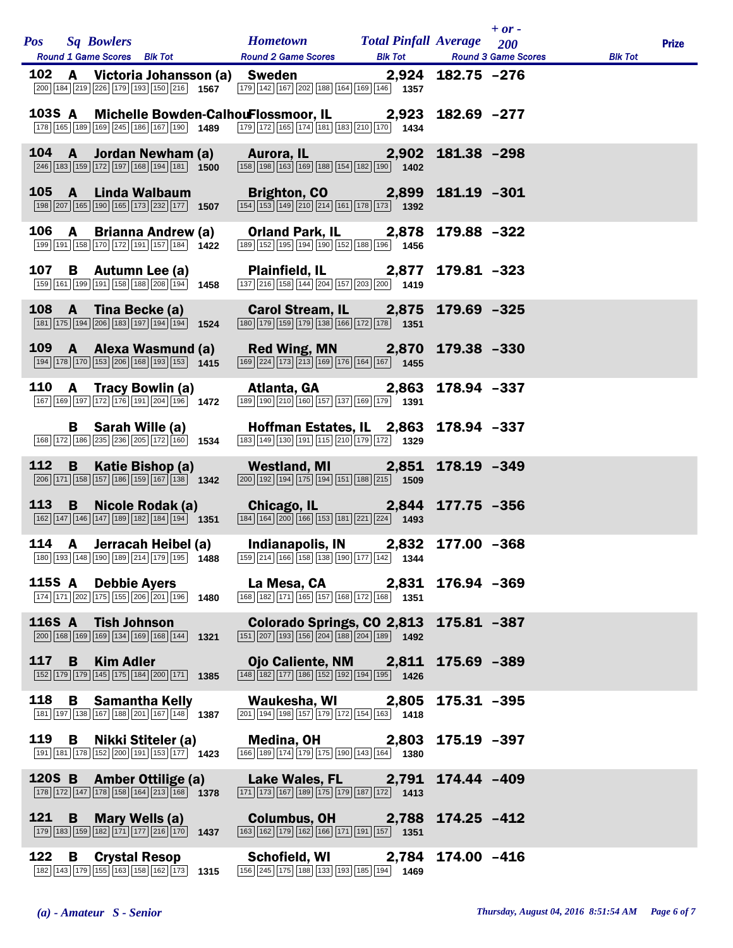|       |              | Pos Sq Bowlers                                                                                                                                             | <b>Hometown</b> Total Pinfall Average 200<br>Round 1 Game Scores Blk Tot Round 2 Game Scores Blk Tot Round 3 Game Scores Blk Tot                                                                                                                                                                                                    |             | $+$ or $-$ | <b>Prize</b> |
|-------|--------------|------------------------------------------------------------------------------------------------------------------------------------------------------------|-------------------------------------------------------------------------------------------------------------------------------------------------------------------------------------------------------------------------------------------------------------------------------------------------------------------------------------|-------------|------------|--------------|
|       |              |                                                                                                                                                            | 102 A Victoria Johansson (a) Sweden 2,924 182.75 -276<br>200 184 219 226 179 193 150 216 1567 179 142 167 202 188 164 169 146 1557                                                                                                                                                                                                  |             |            |              |
|       |              |                                                                                                                                                            | 103S A Michelle Bowden-CalhouFlossmoor, IL 2,923 182.69 -277<br>178 165 169 169 245 168 167 190 1489 179 179 165 174 189 179 181 181 182 210 170 1434                                                                                                                                                                               |             |            |              |
|       |              |                                                                                                                                                            | 104 A Jordan Newham (a) Aurora, IL 2,902 181.38 -298<br>$\frac{1}{246} \sqrt{163} \sqrt{163} \sqrt{163} \sqrt{168} \sqrt{194} \sqrt{164}$                                                                                                                                                                                           |             |            |              |
|       |              | $\boxed{198}\boxed{207}\boxed{165}\boxed{190}\boxed{165}\boxed{173}\boxed{232}\boxed{177}$ 1507                                                            | 105 A Linda Walbaum Brighton, CO 2,899 181.19 -301<br>$\overline{ 154 } 153  149  210  214  161  178  173 $ 1392                                                                                                                                                                                                                    |             |            |              |
|       |              |                                                                                                                                                            | 106 A Brianna Andrew (a) Orland Park, IL 2,878 179.88 -322<br>$\boxed{199}$ $\boxed{191}$ $\boxed{158}$ $\boxed{170}$ $\boxed{172}$ $\boxed{191}$ $\boxed{157}$ $\boxed{184}$ $\boxed{1422}$ $\boxed{189}$ $\boxed{152}$ $\boxed{194}$ $\boxed{190}$ $\boxed{152}$ $\boxed{188}$ $\boxed{196}$ $\boxed{196}$ $\boxed{1456}$         |             |            |              |
|       |              |                                                                                                                                                            | 107 B Autumn Lee (a) Plainfield, IL 2,877 179.81 -323<br>159 161 199 191 158 188 208 194 1458 137 216 158 144 204 157 203 200 1419                                                                                                                                                                                                  |             |            |              |
|       |              | 108 A Tina Becke (a)<br>$\boxed{181}$ $\boxed{175}$ $\boxed{194}$ $\boxed{206}$ $\boxed{183}$ $\boxed{197}$ $\boxed{194}$ $\boxed{194}$ <b>1524</b>        | Carol Stream, IL 2,875 179.69 -325<br>$\boxed{180}$ $\boxed{179}$ $\boxed{159}$ $\boxed{179}$ $\boxed{138}$ $\boxed{166}$ $\boxed{172}$ $\boxed{178}$ $\boxed{1351}$                                                                                                                                                                |             |            |              |
|       |              | 109 A Alexa Wasmund (a)<br>194 178 170 153 206 168 193 153 1415                                                                                            | Red Wing, MN 2,870 179.38 -330<br>$\boxed{169}$ $\boxed{224}$ $\boxed{173}$ $\boxed{213}$ $\boxed{169}$ $\boxed{176}$ $\boxed{164}$ $\boxed{167}$ <b>1455</b>                                                                                                                                                                       |             |            |              |
|       |              |                                                                                                                                                            | 110 A Tracy Bowlin (a) Atlanta, GA 2,863 178.94 -337<br>$\boxed{167}$ $\boxed{169}$ $\boxed{197}$ $\boxed{172}$ $\boxed{176}$ $\boxed{191}$ $\boxed{204}$ $\boxed{196}$ $\boxed{196}$ $\boxed{1472}$ $\boxed{189}$ $\boxed{190}$ $\boxed{210}$ $\boxed{160}$ $\boxed{157}$ $\boxed{137}$ $\boxed{169}$ $\boxed{179}$ $\boxed{1391}$ |             |            |              |
|       |              |                                                                                                                                                            | B Sarah Wille (a) Hoffman Estates, IL 2,863 178.94 -337<br>$\boxed{168}\boxed{172}\boxed{186}\boxed{235}\boxed{236}\boxed{205}\boxed{172}\boxed{160}\boxed{1534}\boxed{183}\boxed{149}\boxed{130}\boxed{191}\boxed{115}\boxed{210}\boxed{179}\boxed{172}\boxed{1}$                                                                  |             |            |              |
| 112   | $\mathbf{B}$ | $\boxed{206}$ 171 158 157 186 159 167 138 1342                                                                                                             | Katie Bishop (a) Westland, MI 2,851 178.19 -349<br>$\boxed{200}$ 192 194 175 194 151 151 188 215 1509                                                                                                                                                                                                                               |             |            |              |
|       |              |                                                                                                                                                            | 113 B Nicole Rodak (a) Chicago, IL 2,844 177.75 -356<br>$\boxed{162}\boxed{147}\boxed{146}\boxed{147}\boxed{189}\boxed{182}\boxed{184}\boxed{194}$ $\boxed{1351}$ $\boxed{184}\boxed{164}\boxed{200}\boxed{166}\boxed{153}\boxed{181}\boxed{221}\boxed{224}$ $\boxed{1493}$                                                         |             |            |              |
|       |              |                                                                                                                                                            | 114 A Jerracah Heibel (a) Indianapolis, IN 2,832 177.00 -368                                                                                                                                                                                                                                                                        |             |            |              |
|       |              | 115S A Debbie Ayers<br>174 171 202 175 155 206 201 196 1480                                                                                                | La Mesa, CA 2,831<br>168 182 171 165 157 168 172 168 1351                                                                                                                                                                                                                                                                           | 176.94 -369 |            |              |
|       |              | 116S A Tish Johnson<br>200 168 169 169 134 169 168 144 1321                                                                                                | Colorado Springs, CO 2,813 175.81 -387<br>$\boxed{151}$ $\boxed{207}$ $\boxed{193}$ $\boxed{156}$ $\boxed{204}$ $\boxed{188}$ $\boxed{204}$ $\boxed{189}$ $\boxed{1492}$                                                                                                                                                            |             |            |              |
| 117 B |              | <b>Kim Adler</b><br>152 179 179 145 175 184 200 171 1385                                                                                                   | Ojo Caliente, NM 2,811 175.69 -389<br>$\boxed{148}$ 182 177 186 152 192 194 195 1426                                                                                                                                                                                                                                                |             |            |              |
| 118   | B            | <b>Samantha Kelly</b><br>181 197 138 167 188 201 167 148 1387                                                                                              | Waukesha, WI 2,805<br>$\boxed{201}$ $\boxed{194}$ $\boxed{198}$ $\boxed{157}$ $\boxed{179}$ $\boxed{172}$ $\boxed{154}$ $\boxed{163}$ $\boxed{1418}$                                                                                                                                                                                | 175.31 -395 |            |              |
|       |              | 119 B Nikki Stiteler (a)<br>$\boxed{191}$ $\boxed{181}$ $\boxed{178}$ $\boxed{152}$ $\boxed{200}$ $\boxed{191}$ $\boxed{153}$ $\boxed{177}$ $\boxed{1423}$ | Medina, OH 2,803 175.19 -397<br>166 189 174 179 175 190 143 164 1380                                                                                                                                                                                                                                                                |             |            |              |
|       |              | 120S B Amber Ottilige (a)<br>$\boxed{178}\boxed{172}\boxed{147}\boxed{178}\boxed{158}\boxed{164}\boxed{213}\boxed{168}$ 1378                               | Lake Wales, FL 2,791 174.44 -409<br>$\boxed{171}$ $\boxed{173}$ $\boxed{167}$ $\boxed{189}$ $\boxed{175}$ $\boxed{179}$ $\boxed{187}$ $\boxed{172}$ $\boxed{1413}$                                                                                                                                                                  |             |            |              |
|       |              | 121 B Mary Wells (a)<br>$\boxed{179}$ $\boxed{183}$ $\boxed{159}$ $\boxed{182}$ $\boxed{171}$ $\boxed{177}$ $\boxed{216}$ $\boxed{170}$ <b>1437</b>        | Columbus, OH 2,788 174.25 -412<br>$\boxed{163}$ $\boxed{162}$ $\boxed{179}$ $\boxed{162}$ $\boxed{166}$ $\boxed{171}$ $\boxed{191}$ $\boxed{157}$ <b>1351</b>                                                                                                                                                                       |             |            |              |
| 122   | B            | <b>Crystal Resop</b><br>182 143 179 155 163 158 162 173 1315                                                                                               | Schofield, WI 2,784 174.00 -416<br>156 245 175 188 133 193 185 194 1469                                                                                                                                                                                                                                                             |             |            |              |